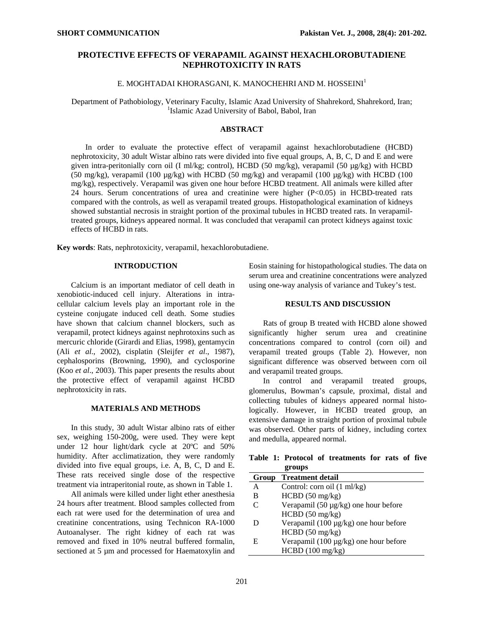# **PROTECTIVE EFFECTS OF VERAPAMIL AGAINST HEXACHLOROBUTADIENE NEPHROTOXICITY IN RATS**

# E. MOGHTADAI KHORASGANI, K. MANOCHEHRI AND M. HOSSEINI<sup>1</sup>

Department of Pathobiology, Veterinary Faculty, Islamic Azad University of Shahrekord, Shahrekord, Iran; 1 <sup>1</sup>Islamic Azad University of Babol, Babol, Iran

## **ABSTRACT**

In order to evaluate the protective effect of verapamil against hexachlorobutadiene (HCBD) nephrotoxicity, 30 adult Wistar albino rats were divided into five equal groups, A, B, C, D and E and were given intra-peritonially corn oil (I ml/kg; control), HCBD (50 mg/kg), verapamil (50 µg/kg) with HCBD  $(50 \text{ mg/kg})$ , verapamil  $(100 \text{ µg/kg})$  with HCBD  $(50 \text{ mg/kg})$  and verapamil  $(100 \text{ µg/kg})$  with HCBD  $(100 \text{ µg/kg})$ mg/kg), respectively. Verapamil was given one hour before HCBD treatment. All animals were killed after 24 hours. Serum concentrations of urea and creatinine were higher (P<0.05) in HCBD-treated rats compared with the controls, as well as verapamil treated groups. Histopathological examination of kidneys showed substantial necrosis in straight portion of the proximal tubules in HCBD treated rats. In verapamiltreated groups, kidneys appeared normal. It was concluded that verapamil can protect kidneys against toxic effects of HCBD in rats.

**Key words**: Rats, nephrotoxicity, verapamil, hexachlorobutadiene.

## **INTRODUCTION**

Calcium is an important mediator of cell death in xenobiotic-induced cell injury. Alterations in intracellular calcium levels play an important role in the cysteine conjugate induced cell death. Some studies have shown that calcium channel blockers, such as verapamil, protect kidneys against nephrotoxins such as mercuric chloride (Girardi and Elias, 1998), gentamycin (Ali *et al*., 2002), cisplatin (Sleijfer *et al*., 1987), cephalosporins (Browning, 1990), and cyclosporine (Koo *et al*., 2003). This paper presents the results about the protective effect of verapamil against HCBD nephrotoxicity in rats.

### **MATERIALS AND METHODS**

In this study, 30 adult Wistar albino rats of either sex, weighing 150-200g, were used. They were kept under 12 hour light/dark cycle at 20ºC and 50% humidity. After acclimatization, they were randomly divided into five equal groups, i.e. A, B, C, D and E. These rats received single dose of the respective treatment via intraperitonial route, as shown in Table 1.

All animals were killed under light ether anesthesia 24 hours after treatment. Blood samples collected from each rat were used for the determination of urea and creatinine concentrations, using Technicon RA-1000 Autoanalyser. The right kidney of each rat was removed and fixed in 10% neutral buffered formalin, sectioned at 5 µm and processed for Haematoxylin and Eosin staining for histopathological studies. The data on serum urea and creatinine concentrations were analyzed using one-way analysis of variance and Tukey's test.

### **RESULTS AND DISCUSSION**

Rats of group B treated with HCBD alone showed significantly higher serum urea and creatinine concentrations compared to control (corn oil) and verapamil treated groups (Table 2). However, non significant difference was observed between corn oil and verapamil treated groups.

In control and verapamil treated groups, glomerulus, Bowman's capsule, proximal, distal and collecting tubules of kidneys appeared normal histologically. However, in HCBD treated group, an extensive damage in straight portion of proximal tubule was observed. Other parts of kidney, including cortex and medulla, appeared normal.

**Table 1: Protocol of treatments for rats of five groups** 

| Group                       | <b>Treatment detail</b>                   |
|-----------------------------|-------------------------------------------|
| A                           | Control: corn oil (1 ml/kg)               |
| в                           | HCBD (50 mg/kg)                           |
| $\mathcal{C}_{\mathcal{C}}$ | Verapamil $(50 \mu g/kg)$ one hour before |
|                             | $HCBD$ (50 mg/kg)                         |
|                             | Verapamil (100 µg/kg) one hour before     |
|                             | $HCBD$ (50 mg/kg)                         |
| F.                          | Verapamil (100 µg/kg) one hour before     |
|                             | HCBD(100 mg/kg)                           |